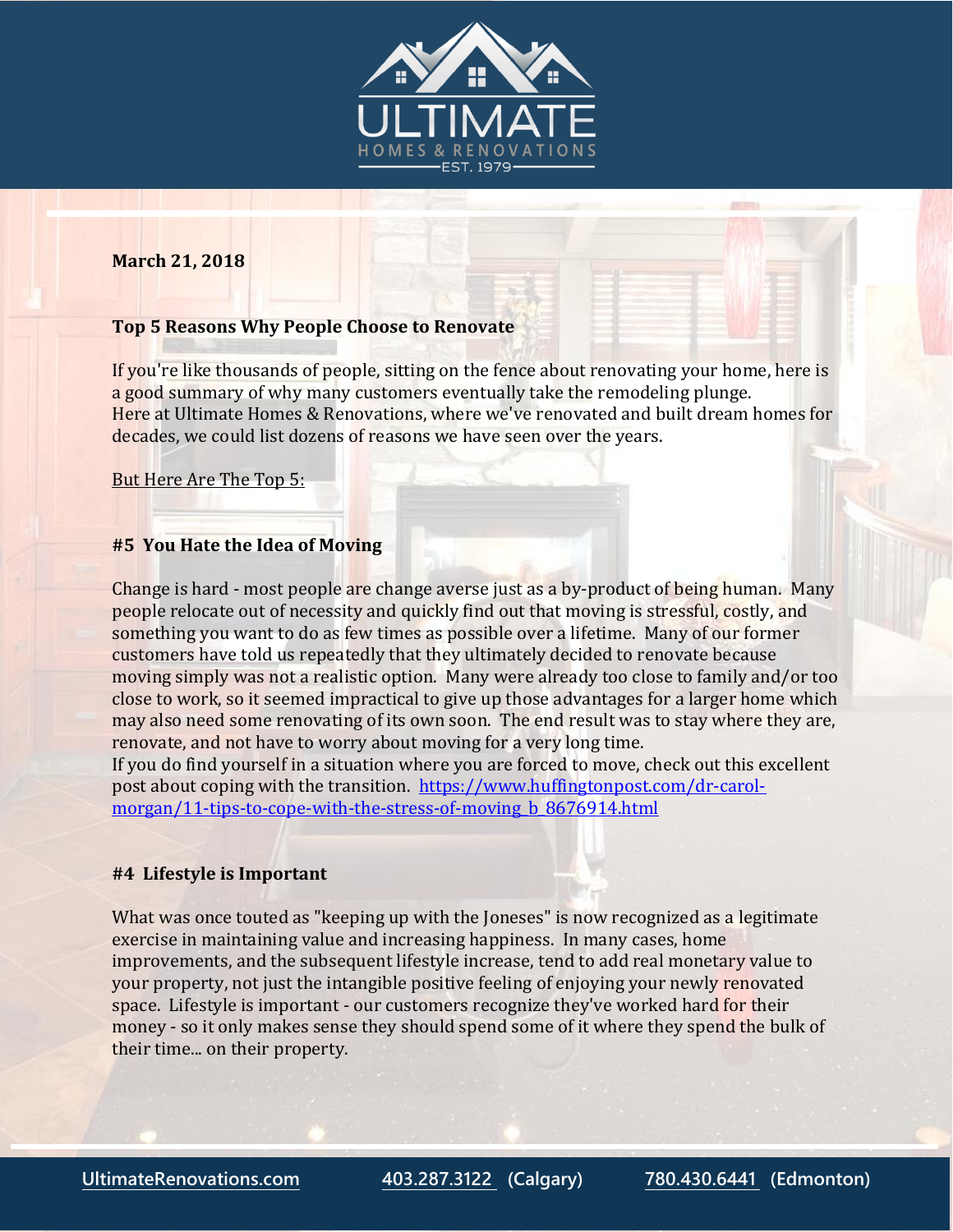

#### **March 21, 2018**

### **Top 5 Reasons Why People Choose to Renovate**

If you're like thousands of people, sitting on the fence about renovating your home, here is a good summary of why many customers eventually take the remodeling plunge. Here at Ultimate Homes & Renovations, where we've renovated and built dream homes for decades, we could list dozens of reasons we have seen over the years.

But Here Are The Top 5:

#### **#5 You Hate the Idea of Moving**

Change is hard - most people are change averse just as a by-product of being human. Many people relocate out of necessity and quickly find out that moving is stressful, costly, and something you want to do as few times as possible over a lifetime. Many of our former customers have told us repeatedly that they ultimately decided to renovate because moving simply was not a realistic option. Many were already too close to family and/or too close to work, so it seemed impractical to give up those advantages for a larger home which may also need some renovating of its own soon. The end result was to stay where they are, renovate, and not have to worry about moving for a very long time.

If you do find yourself in a situation where you are forced to move, check out this excellent post about coping with the transition. [https://www.huffingtonpost.com/dr-carol](https://www.huffingtonpost.com/dr-carol-morgan/11-tips-to-cope-with-the-stress-of-moving_b_8676914.html)[morgan/11-tips-to-cope-with-the-stress-of-moving\\_b\\_8676914.html](https://www.huffingtonpost.com/dr-carol-morgan/11-tips-to-cope-with-the-stress-of-moving_b_8676914.html)

## **#4 Lifestyle is Important**

What was once touted as "keeping up with the Joneses" is now recognized as a legitimate exercise in maintaining value and increasing happiness. In many cases, home improvements, and the subsequent lifestyle increase, tend to add real monetary value to your property, not just the intangible positive feeling of enjoying your newly renovated space. Lifestyle is important - our customers recognize they've worked hard for their money - so it only makes sense they should spend some of it where they spend the bulk of their time... on their property.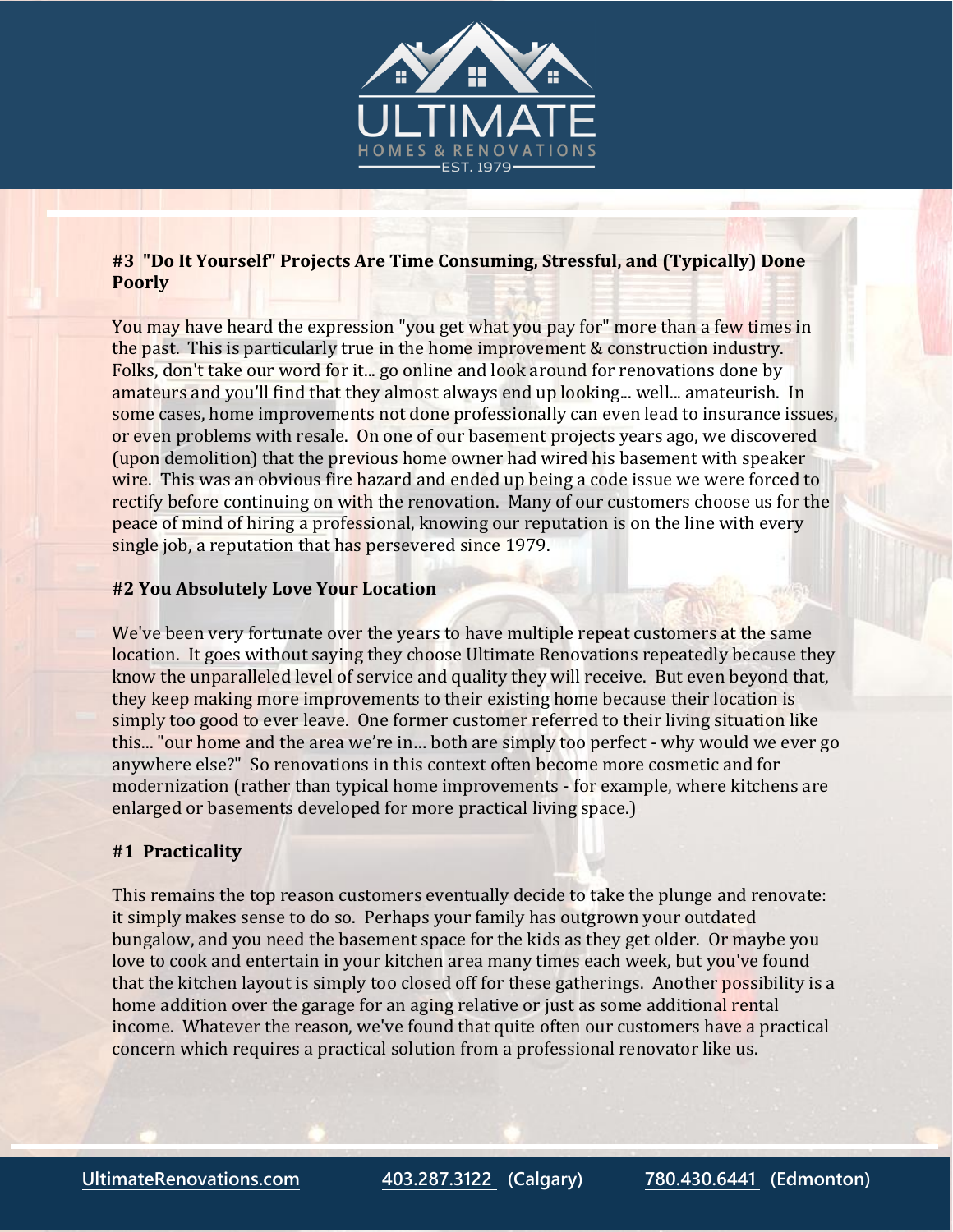

# **#3 "Do It Yourself" Projects Are Time Consuming, Stressful, and (Typically) Done Poorly**

You may have heard the expression "you get what you pay for" more than a few times in the past. This is particularly true in the home improvement & construction industry. Folks, don't take our word for it... go online and look around for renovations done by amateurs and you'll find that they almost always end up looking... well... amateurish. In some cases, home improvements not done professionally can even lead to insurance issues, or even problems with resale. On one of our basement projects years ago, we discovered (upon demolition) that the previous home owner had wired his basement with speaker wire. This was an obvious fire hazard and ended up being a code issue we were forced to rectify before continuing on with the renovation. Many of our customers choose us for the peace of mind of hiring a professional, knowing our reputation is on the line with every single job, a reputation that has persevered since 1979.

## **#2 You Absolutely Love Your Location**

We've been very fortunate over the years to have multiple repeat customers at the same location. It goes without saying they choose Ultimate Renovations repeatedly because they know the unparalleled level of service and quality they will receive. But even beyond that, they keep making more improvements to their existing home because their location is simply too good to ever leave. One former customer referred to their living situation like this... "our home and the area we're in… both are simply too perfect - why would we ever go anywhere else?" So renovations in this context often become more cosmetic and for modernization (rather than typical home improvements - for example, where kitchens are enlarged or basements developed for more practical living space.)

## **#1 Practicality**

This remains the top reason customers eventually decide to take the plunge and renovate: it simply makes sense to do so. Perhaps your family has outgrown your outdated bungalow, and you need the basement space for the kids as they get older. Or maybe you love to cook and entertain in your kitchen area many times each week, but you've found that the kitchen layout is simply too closed off for these gatherings. Another possibility is a home addition over the garage for an aging relative or just as some additional rental income. Whatever the reason, we've found that quite often our customers have a practical concern which requires a practical solution from a professional renovator like us.